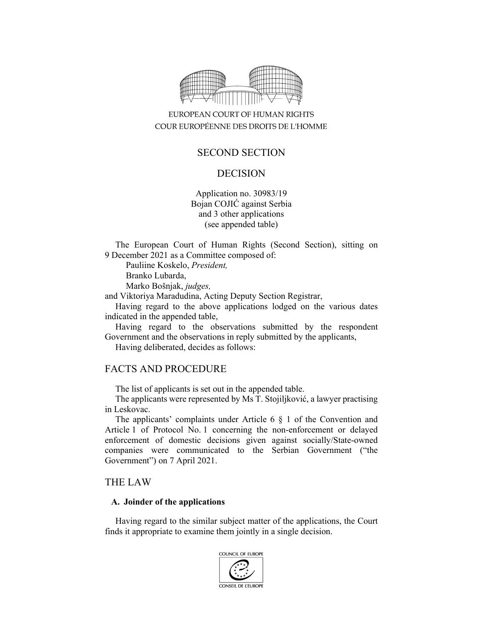

# EUROPEAN COURT OF HUMAN RIGHTS COUR EUROPÉENNE DES DROITS DE L'HOMME

# SECOND SECTION

## DECISION

Application no. 30983/19 Bojan COJIĆ against Serbia and 3 other applications (see appended table)

The European Court of Human Rights (Second Section), sitting on 9 December 2021 as a Committee composed of:

Pauliine Koskelo, *President,* 

Branko Lubarda,

Marko Bošnjak, *judges,* 

and Viktoriya Maradudina, Acting Deputy Section Registrar,

Having regard to the above applications lodged on the various dates indicated in the appended table,

Having regard to the observations submitted by the respondent Government and the observations in reply submitted by the applicants,

Having deliberated, decides as follows:

## FACTS AND PROCEDURE

The list of applicants is set out in the appended table.

The applicants were represented by Ms T. Stojiljković, a lawyer practising in Leskovac.

The applicants' complaints under Article 6 § 1 of the Convention and Article 1 of Protocol No. 1 concerning the non-enforcement or delayed enforcement of domestic decisions given against socially/State-owned companies were communicated to the Serbian Government ("the Government") on 7 April 2021.

### THE LAW

#### **A. Joinder of the applications**

Having regard to the similar subject matter of the applications, the Court finds it appropriate to examine them jointly in a single decision.

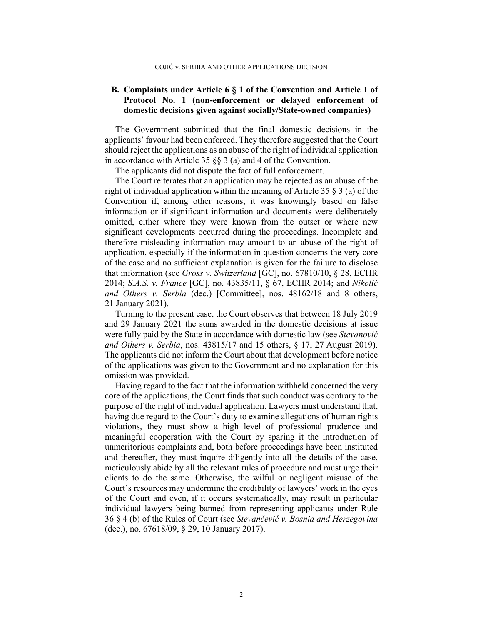### **B. Complaints under Article 6 § 1 of the Convention and Article 1 of Protocol No. 1 (non-enforcement or delayed enforcement of domestic decisions given against socially/State-owned companies)**

The Government submitted that the final domestic decisions in the applicants' favour had been enforced. They therefore suggested that the Court should reject the applications as an abuse of the right of individual application in accordance with Article 35 §§ 3 (a) and 4 of the Convention.

The applicants did not dispute the fact of full enforcement.

The Court reiterates that an application may be rejected as an abuse of the right of individual application within the meaning of Article 35 § 3 (a) of the Convention if, among other reasons, it was knowingly based on false information or if significant information and documents were deliberately omitted, either where they were known from the outset or where new significant developments occurred during the proceedings. Incomplete and therefore misleading information may amount to an abuse of the right of application, especially if the information in question concerns the very core of the case and no sufficient explanation is given for the failure to disclose that information (see *Gross v. Switzerland* [GC], no. 67810/10, § 28, ECHR 2014; *S.A.S. v. France* [GC], no. 43835/11, § 67, ECHR 2014; and *Nikolić and Others v. Serbia* (dec.) [Committee], nos. 48162/18 and 8 others, 21 January 2021).

Turning to the present case, the Court observes that between 18 July 2019 and 29 January 2021 the sums awarded in the domestic decisions at issue were fully paid by the State in accordance with domestic law (see *Stevanović and Others v. Serbia*, nos. 43815/17 and 15 others, § 17, 27 August 2019). The applicants did not inform the Court about that development before notice of the applications was given to the Government and no explanation for this omission was provided.

Having regard to the fact that the information withheld concerned the very core of the applications, the Court finds that such conduct was contrary to the purpose of the right of individual application. Lawyers must understand that, having due regard to the Court's duty to examine allegations of human rights violations, they must show a high level of professional prudence and meaningful cooperation with the Court by sparing it the introduction of unmeritorious complaints and, both before proceedings have been instituted and thereafter, they must inquire diligently into all the details of the case, meticulously abide by all the relevant rules of procedure and must urge their clients to do the same. Otherwise, the wilful or negligent misuse of the Court's resources may undermine the credibility of lawyers' work in the eyes of the Court and even, if it occurs systematically, may result in particular individual lawyers being banned from representing applicants under Rule 36 § 4 (b) of the Rules of Court (see *Stevančević v. Bosnia and Herzegovina* (dec.), no. 67618/09, § 29, 10 January 2017).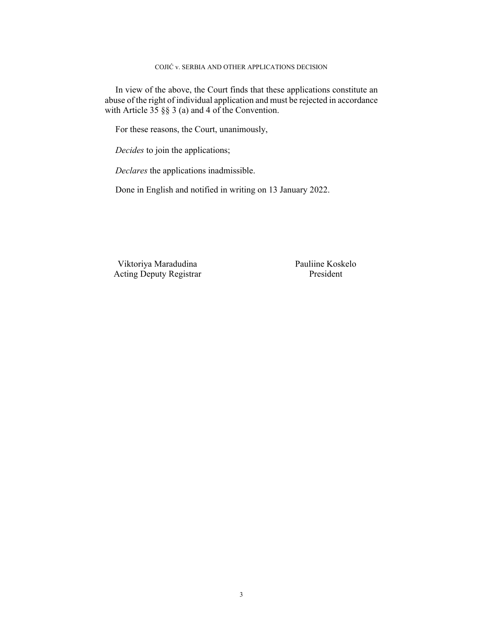#### COJIĆ v. SERBIA AND OTHER APPLICATIONS DECISION

In view of the above, the Court finds that these applications constitute an abuse of the right of individual application and must be rejected in accordance with Article  $35 \S$   $\S$  3 (a) and 4 of the Convention.

For these reasons, the Court, unanimously,

*Decides* to join the applications;

*Declares* the applications inadmissible.

Done in English and notified in writing on 13 January 2022.

Viktoriya Maradudina Pauliine Koskelo Acting Deputy Registrar President